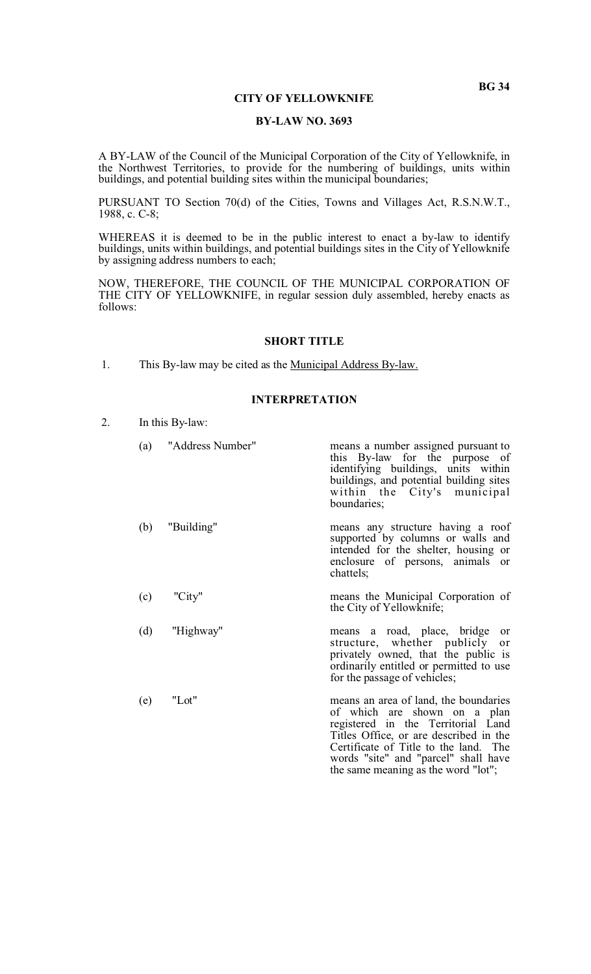# **CITY OF YELLOWKNIFE**

# **BY-LAW NO. 3693**

A BY-LAW of the Council of the Municipal Corporation of the City of Yellowknife, in the Northwest Territories, to provide for the numbering of buildings, units within buildings, and potential building sites within the municipal boundaries;

PURSUANT TO Section 70(d) of the Cities, Towns and Villages Act, R.S.N.W.T., 1988, c. C-8;

WHEREAS it is deemed to be in the public interest to enact a by-law to identify buildings, units within buildings, and potential buildings sites in the City of Yellowknife by assigning address numbers to each;

NOW, THEREFORE, THE COUNCIL OF THE MUNICIPAL CORPORATION OF THE CITY OF YELLOWKNIFE, in regular session duly assembled, hereby enacts as follows:

#### **SHORT TITLE**

1. This By-law may be cited as the Municipal Address By-law.

### **INTERPRETATION**

2. In this By-law:

|     | (a) "Address Number" | means a number assigned pursuant to<br>this By-law for the purpose of<br>identifying buildings, units within<br>buildings, and potential building sites<br>within the City's municipal<br>boundaries;                                                                         |
|-----|----------------------|-------------------------------------------------------------------------------------------------------------------------------------------------------------------------------------------------------------------------------------------------------------------------------|
| (b) | "Building"           | means any structure having a roof<br>supported by columns or walls and<br>intended for the shelter, housing or<br>enclosure of persons, animals or<br>chattels;                                                                                                               |
| (c) | "City"               | means the Municipal Corporation of<br>the City of Yellowknife;                                                                                                                                                                                                                |
| (d) | "Highway"            | means a road, place, bridge<br><sub>or</sub><br>structure, whether publicly<br>or<br>privately owned, that the public is<br>ordinarily entitled or permitted to use<br>for the passage of vehicles;                                                                           |
| (e) | "Lot"                | means an area of land, the boundaries<br>of which are shown on a plan<br>registered in the Territorial Land<br>Titles Office, or are described in the<br>Certificate of Title to the land. The<br>words "site" and "parcel" shall have<br>the same meaning as the word "lot"; |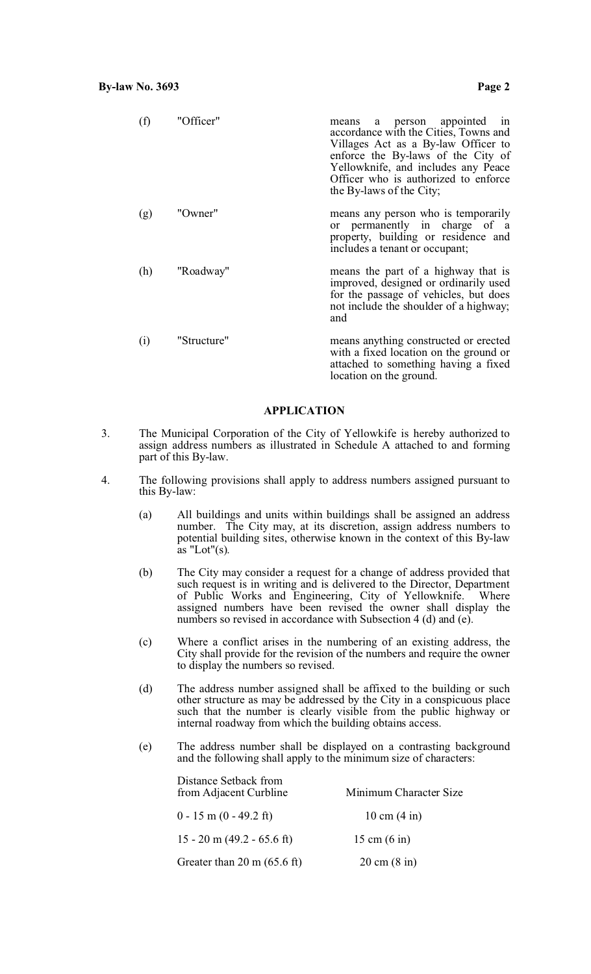| (f) | "Officer"   | a person appointed in<br>means<br>accordance with the Cities, Towns and<br>Villages Act as a By-law Officer to<br>enforce the By-laws of the City of<br>Yellowknife, and includes any Peace<br>Officer who is authorized to enforce<br>the By-laws of the City; |
|-----|-------------|-----------------------------------------------------------------------------------------------------------------------------------------------------------------------------------------------------------------------------------------------------------------|
| (g) | "Owner"     | means any person who is temporarily<br>or permanently in charge of a<br>property, building or residence and<br>includes a tenant or occupant;                                                                                                                   |
| (h) | "Roadway"   | means the part of a highway that is<br>improved, designed or ordinarily used<br>for the passage of vehicles, but does<br>not include the shoulder of a highway;<br>and                                                                                          |
| (i) | "Structure" | means anything constructed or erected<br>with a fixed location on the ground or<br>attached to something having a fixed<br>location on the ground.                                                                                                              |

### **APPLICATION**

- 3. The Municipal Corporation of the City of Yellowkife is hereby authorized to assign address numbers as illustrated in Schedule A attached to and forming part of this By-law.
- 4. The following provisions shall apply to address numbers assigned pursuant to this By-law:
	- (a) All buildings and units within buildings shall be assigned an address number. The City may, at its discretion, assign address numbers to potential building sites, otherwise known in the context of this By-law  $\alpha$ s "Lot" $(s)$ .
	- (b) The City may consider a request for a change of address provided that such request is in writing and is delivered to the Director, Department of Public Works and Engineering, City of Yellowknife. Where assigned numbers have been revised the owner shall display the numbers so revised in accordance with Subsection 4 (d) and (e).
	- (c) Where a conflict arises in the numbering of an existing address, the City shall provide for the revision of the numbers and require the owner to display the numbers so revised.
	- (d) The address number assigned shall be affixed to the building or such other structure as may be addressed by the City in a conspicuous place such that the number is clearly visible from the public highway or internal roadway from which the building obtains access.
	- (e) The address number shall be displayed on a contrasting background and the following shall apply to the minimum size of characters:

| Distance Setback from<br>from Adjacent Curbline | Minimum Character Size         |
|-------------------------------------------------|--------------------------------|
| $0 - 15$ m $(0 - 49.2$ ft)                      | 10 cm $(4 \text{ in})$         |
| 15 - 20 m (49.2 - 65.6 ft)                      | 15 cm $(6 \text{ in})$         |
| Greater than $20 \text{ m} (65.6 \text{ ft})$   | $20 \text{ cm} (8 \text{ in})$ |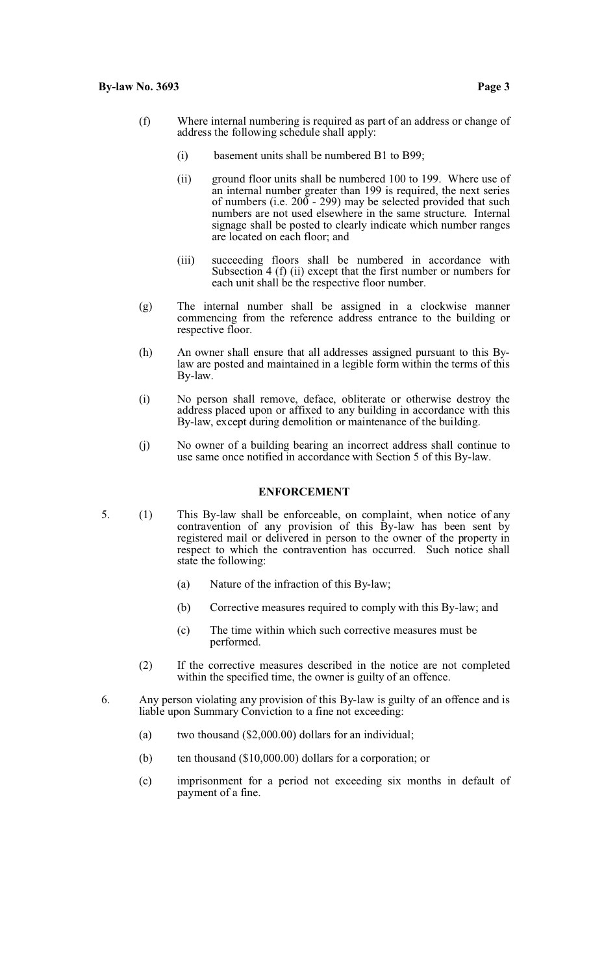- 
- (f) Where internal numbering is required as part of an address or change of address the following schedule shall apply:
	- (i) basement units shall be numbered B1 to B99;
	- (ii) ground floor units shall be numbered 100 to 199. Where use of an internal number greater than 199 is required, the next series of numbers (i.e.  $200 - 299$ ) may be selected provided that such numbers are not used elsewhere in the same structure. Internal signage shall be posted to clearly indicate which number ranges are located on each floor; and
	- (iii) succeeding floors shall be numbered in accordance with Subsection 4 (f) (ii) except that the first number or numbers for each unit shall be the respective floor number.
- (g) The internal number shall be assigned in a clockwise manner commencing from the reference address entrance to the building or respective floor.
- (h) An owner shall ensure that all addresses assigned pursuant to this Bylaw are posted and maintained in a legible form within the terms of this By-law.
- (i) No person shall remove, deface, obliterate or otherwise destroy the address placed upon or affixed to any building in accordance with this By-law, except during demolition or maintenance of the building.
- (j) No owner of a building bearing an incorrect address shall continue to use same once notified in accordance with Section 5 of this By-law.

## **ENFORCEMENT**

- 5. (1) This By-law shall be enforceable, on complaint, when notice of any contravention of any provision of this By-law has been sent by registered mail or delivered in person to the owner of the property in respect to which the contravention has occurred. Such notice shall state the following:
	- (a) Nature of the infraction of this By-law;
	- (b) Corrective measures required to comply with this By-law; and
	- (c) The time within which such corrective measures must be performed.
	- (2) If the corrective measures described in the notice are not completed within the specified time, the owner is guilty of an offence.
- 6. Any person violating any provision of this By-law is guilty of an offence and is liable upon Summary Conviction to a fine not exceeding:
	- (a) two thousand (\$2,000.00) dollars for an individual;
	- (b) ten thousand (\$10,000.00) dollars for a corporation; or
	- (c) imprisonment for a period not exceeding six months in default of payment of a fine.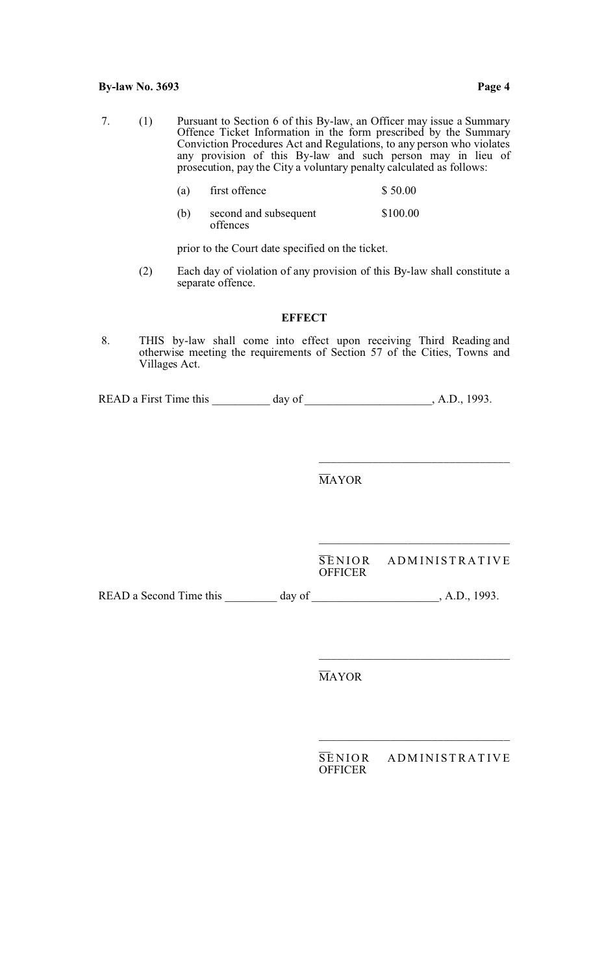7. (1) Pursuant to Section 6 of this By-law, an Officer may issue a Summary Offence Ticket Information in the form prescribed by the Summary Conviction Procedures Act and Regulations, to any person who violates any provision of this By-law and such person may in lieu of prosecution, pay the City a voluntary penalty calculated as follows:

| (a) | first offence | \$50.00 |
|-----|---------------|---------|
|-----|---------------|---------|

(b) second and subsequent  $$100.00$ offences

prior to the Court date specified on the ticket.

(2) Each day of violation of any provision of this By-law shall constitute a separate offence.

### **EFFECT**

 8. THIS by-law shall come into effect upon receiving Third Reading and otherwise meeting the requirements of Section 57 of the Cities, Towns and Villages Act.

READ a First Time this day of , A.D., 1993.

 $\overline{\phantom{a}}$ MAYOR

 $\overline{\phantom{a}}$ SENIOR ADMINISTRATIVE **OFFICER** 

\_\_\_\_\_\_\_\_\_\_\_\_\_\_\_\_\_\_\_\_\_\_\_\_\_\_\_\_\_\_\_\_

\_\_\_\_\_\_\_\_\_\_\_\_\_\_\_\_\_\_\_\_\_\_\_\_\_\_\_\_\_\_\_\_

\_\_\_\_\_\_\_\_\_\_\_\_\_\_\_\_\_\_\_\_\_\_\_\_\_\_\_\_\_\_\_\_

READ a Second Time this \_\_\_\_\_\_\_\_ day of \_\_\_\_\_\_\_\_\_\_\_\_\_\_\_\_\_\_, A.D., 1993.

 $\overline{\phantom{a}}$ MAYOR

| <b>SENIOR</b>  | ADMINISTRATIVE |
|----------------|----------------|
| <b>OFFICER</b> |                |

\_\_\_\_\_\_\_\_\_\_\_\_\_\_\_\_\_\_\_\_\_\_\_\_\_\_\_\_\_\_\_\_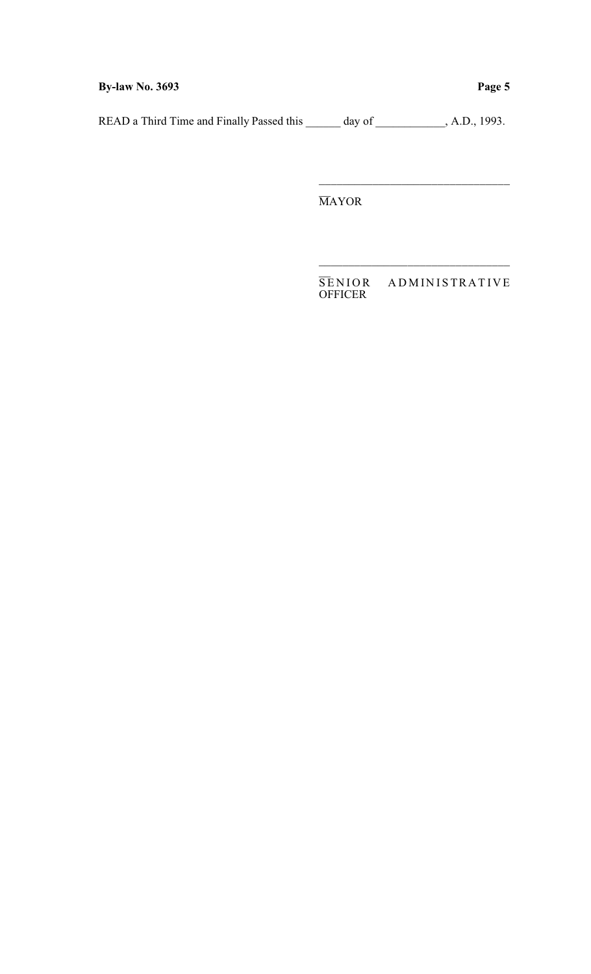**By-law No. 3693 Page 5**

READ a Third Time and Finally Passed this \_\_\_\_\_\_ day of \_\_\_\_\_\_\_\_\_, A.D., 1993.

 $\overline{\phantom{0}}$ MAYOR

 $\overline{\phantom{a}}$ SENIOR ADMINISTRATIVE OFFICER

\_\_\_\_\_\_\_\_\_\_\_\_\_\_\_\_\_\_\_\_\_\_\_\_\_\_\_\_\_\_\_\_

\_\_\_\_\_\_\_\_\_\_\_\_\_\_\_\_\_\_\_\_\_\_\_\_\_\_\_\_\_\_\_\_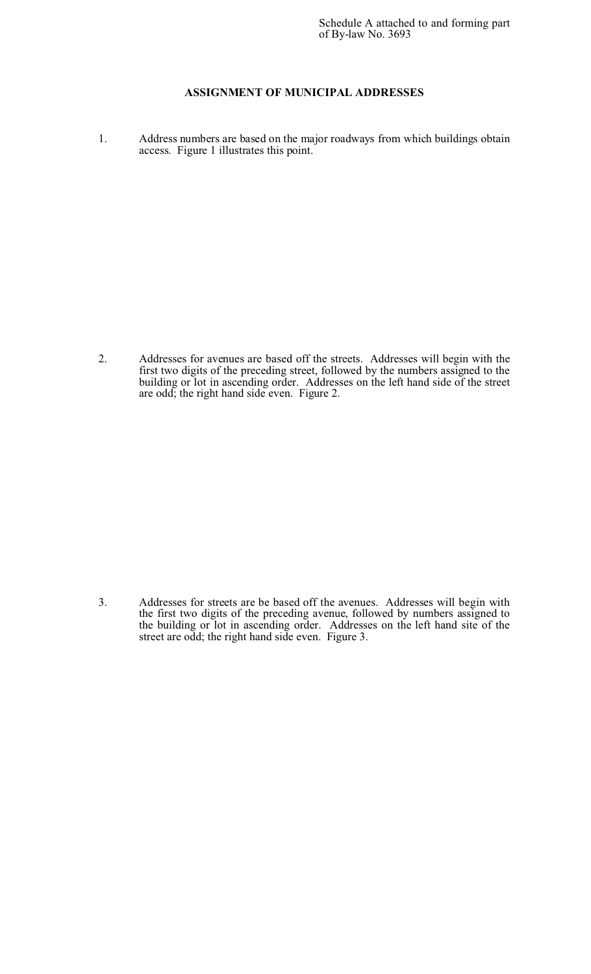## **ASSIGNMENT OF MUNICIPAL ADDRESSES**

1. Address numbers are based on the major roadways from which buildings obtain access. Figure 1 illustrates this point.

2. Addresses for avenues are based off the streets. Addresses will begin with the first two digits of the preceding street, followed by the numbers assigned to the building or lot in ascending order. Addresses on the left hand side of the street are odd; the right hand side even. Figure 2.

3. Addresses for streets are be based off the avenues. Addresses will begin with the first two digits of the preceding avenue, followed by numbers assigned to the building or lot in ascending order. Addresses on the left hand site of the street are odd; the right hand side even. Figure 3.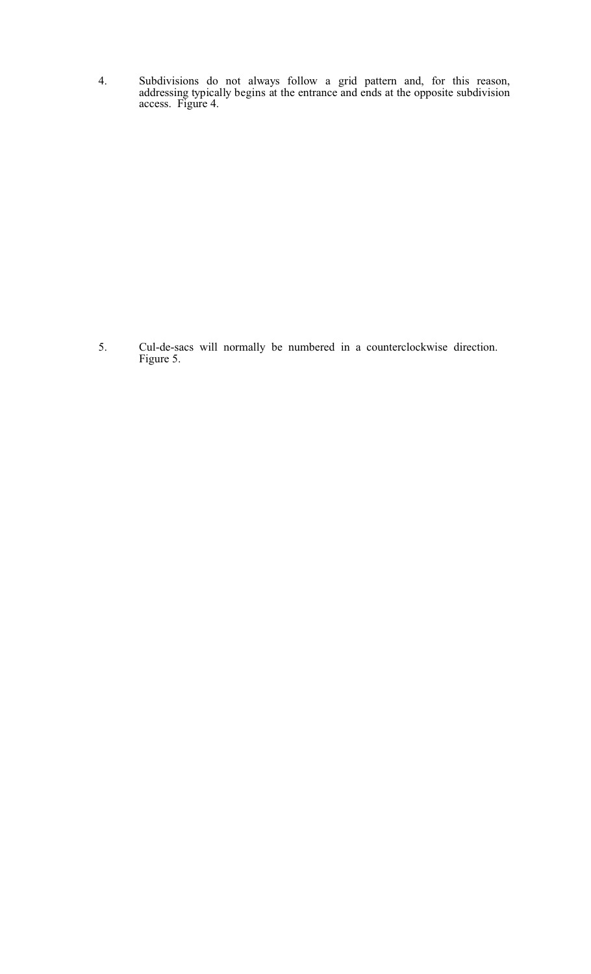4. Subdivisions do not always follow a grid pattern and, for this reason, addressing typically begins at the entrance and ends at the opposite subdivision access. Figure 4.

5. Cul-de-sacs will normally be numbered in a counterclockwise direction. Figure 5.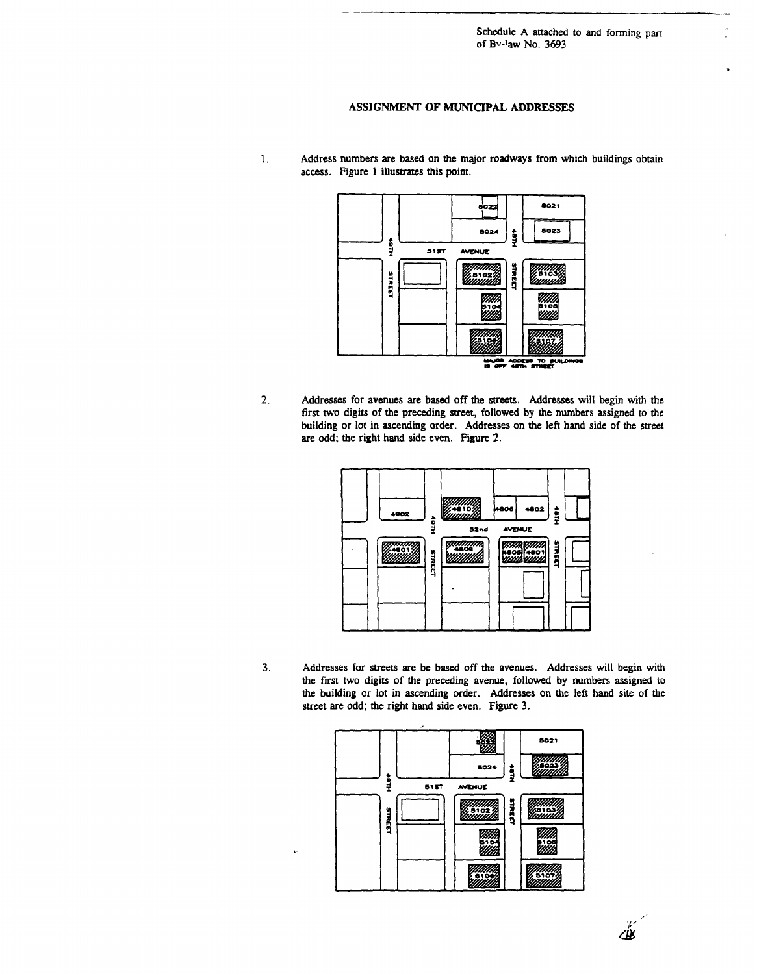Schedule A attached to and forming part of Bv-law No. 3693

#### ASSIGNMENT OF MUNICIPAL ADDRESSES

- 6021 502: 5023 8024 ĝ į  $515T$ AVENUE |||||||||||<br>|-<br>||||||||||| TREET **STREET**  $5102$ 510<br>WW 510. .<br>Mili 5197 뿝  $\overline{10}$   $\overline{6}$
- $2.$ Addresses for avenues are based off the streets. Addresses will begin with the first two digits of the preceding street, followed by the numbers assigned to the building or lot in ascending order. Addresses on the left hand side of the street are odd; the right hand side even. Figure 2.



 $3.$ Addresses for streets are be based off the avenues. Addresses will begin with the first two digits of the preceding avenue, followed by numbers assigned to the building or lot in ascending order. Addresses on the left hand site of the street are odd; the right hand side even. Figure 3.



Address numbers are based on the major roadways from which buildings obtain 1. access. Figure 1 illustrates this point.